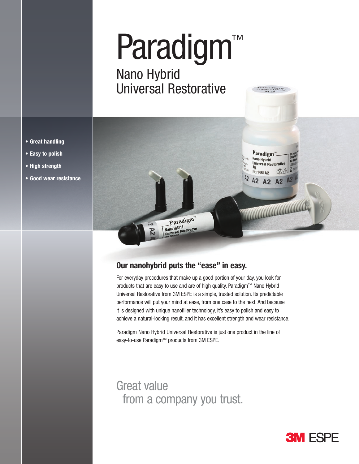# Paradigm Paradigm™

Natio Hybrid<br>Universal Restarctive Nano Hybrid Universal Restorative



## **Our nanohybrid puts the "ease" in easy.**

For everyday procedures that make up a good portion of your day, you look for products that are easy to use and are of high quality. Paradigm™ Nano Hybrid Universal Restorative from 3M ESPE is a simple, trusted solution. Its predictable performance will put your mind at ease, from one case to the next. And because it is designed with unique nanofiller technology, it's easy to polish and easy to achieve a natural-looking result, and it has excellent strength and wear resistance.

Paradigm Nano Hybrid Universal Restorative is just one product in the line of easy-to-use Paradigm™ products from 3M ESPE.

# Great value from a company you trust.



- **• Great handling**
- **• Easy to polish**
- **• High strength**
- **• Good wear resistance**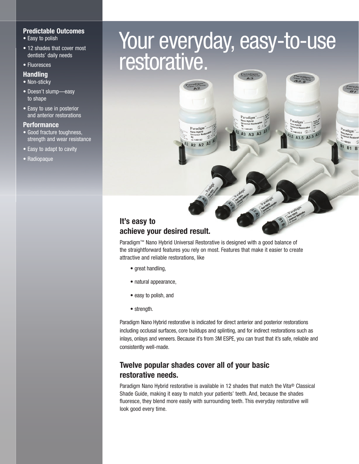#### **Predictable Outcomes**

- Easy to polish
- 12 shades that cover most dentists' daily needs
- Fluoresces

#### **Handling**

- Non-sticky
- Doesn't slump—easy to shape
- Easy to use in posterior and anterior restorations

#### **Performance**

- Good fracture toughness, strength and wear resistance
- Easy to adapt to cavity
- Radiopaque

# Your everyday, easy-to-use restorative.

 $\overline{2}$ 48143 A3 A3 A3

A3.5 A3.5

 $R<sub>1</sub>$ 

## **It's easy to achieve your desired result.**

Paradigm™ Nano Hybrid Universal Restorative is designed with a good balance of the straightforward features you rely on most. Features that make it easier to create attractive and reliable restorations, like

A2 A2

- great handling,
- natural appearance,
- easy to polish, and
- strength.

Paradigm Nano Hybrid restorative is indicated for direct anterior and posterior restorations including occlusal surfaces, core buildups and splinting, and for indirect restorations such as inlays, onlays and veneers. Because it's from 3M ESPE, you can trust that it's safe, reliable and consistently well-made.

## **Twelve popular shades cover all of your basic restorative needs.**

Paradigm Nano Hybrid restorative is available in 12 shades that match the Vita® Classical Shade Guide, making it easy to match your patients' teeth. And, because the shades fluoresce, they blend more easily with surrounding teeth. This everyday restorative will look good every time.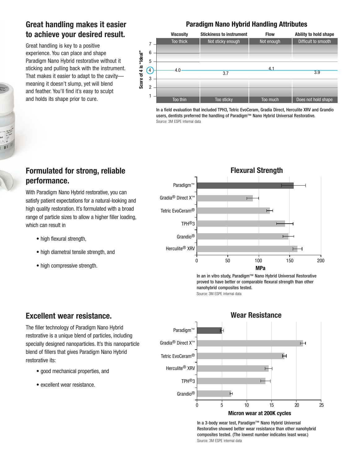## **Great handling makes it easier to achieve your desired result.**

Great handling is key to a positive experience. You can place and shape Paradigm Nano Hybrid restorative without it sticking and pulling back with the instrument. That makes it easier to adapt to the cavity meaning it doesn't slump, yet will blend and feather. You'll find it's easy to sculpt and holds its shape prior to cure.

### **Paradigm Nano Hybrid Handling Attributes**

|                          |                | <b>Viscosity</b> | <b>Stickiness to instrument</b> | <b>Flow</b> | <b>Ability to hold shape</b> |
|--------------------------|----------------|------------------|---------------------------------|-------------|------------------------------|
| is "Ideal"<br>Score of 4 | 7              | Too thick        | Not sticky enough               | Not enough  | Difficult to smooth          |
|                          | 6              |                  |                                 |             |                              |
|                          | 5              |                  |                                 |             |                              |
|                          |                |                  |                                 | 4.1         |                              |
|                          | $\overline{4}$ | 4.0              | 3.7                             |             | 3.9                          |
|                          | 3              |                  |                                 |             |                              |
|                          | $\overline{2}$ |                  |                                 |             |                              |
|                          |                | Too thin         | Too sticky                      | Too much    | Does not hold shape          |

In a field evaluation that included TPH3, Tetric EvoCeram, Gradia Direct, Herculite XRV and Grandio users, dentists preferred the handling of Paradigm™ Nano Hybrid Universal Restorative. Source: 3M ESPE internal data



In an in vitro study, Paradigm™ Nano Hybrid Universal Restorative proved to have better or comparable flexural strength than other nanohybrid composites tested. Source: 3M ESPE internal data

## **Formulated for strong, reliable performance.**

With Paradigm Nano Hybrid restorative, you can satisfy patient expectations for a natural-looking and high quality restoration. It's formulated with a broad range of particle sizes to allow a higher filler loading, which can result in

- high flexural strength,
- high diametral tensile strength, and
- high compressive strength.

## **Excellent wear resistance.**

The filler technology of Paradigm Nano Hybrid restorative is a unique blend of particles, including specially designed nanoparticles. It's this nanoparticle blend of fillers that gives Paradigm Nano Hybrid restorative its:

- good mechanical properties, and
- excellent wear resistance.



In a 3-body wear test, Paradigm™ Nano Hybrid Universal Restorative showed better wear resistance than other nanohybrid composites tested. (The lowest number indicates least wear.) Source: 3M ESPE internal data